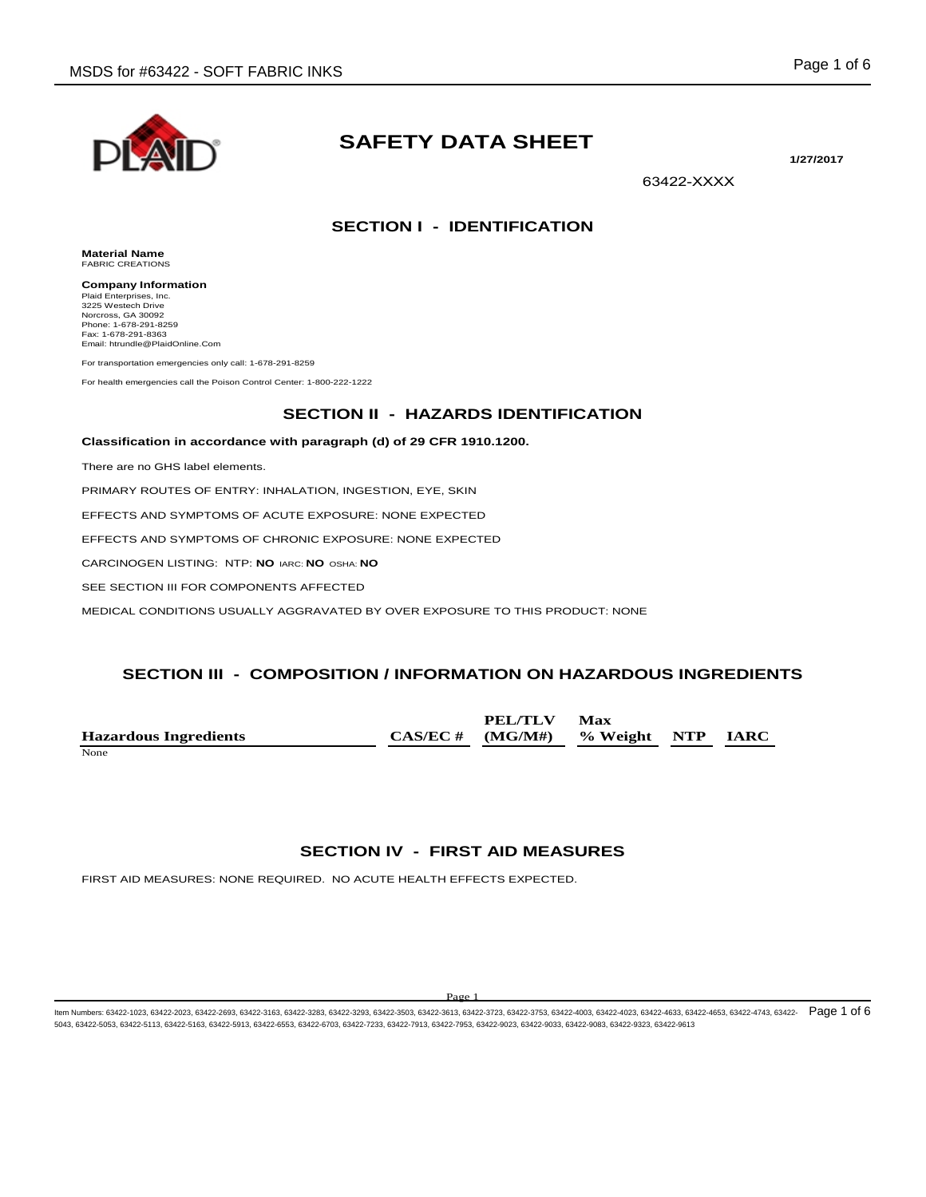

# **SAFETY DATA SHEET**

**1/27/2017**

63422-XXXX

# **SECTION I - IDENTIFICATION**

**Material Name** FABRIC CREATIONS

**Company Information** Plaid Enterprises, Inc. 3225 Westech Drive Norcross, GA 30092 Phone: 1-678-291-8259 Fax: 1-678-291-8363 Email: htrundle@PlaidOnline.Com

For transportation emergencies only call: 1-678-291-8259

For health emergencies call the Poison Control Center: 1-800-222-1222

## **SECTION II - HAZARDS IDENTIFICATION**

#### **Classification in accordance with paragraph (d) of 29 CFR 1910.1200.**

There are no GHS label elements.

PRIMARY ROUTES OF ENTRY: INHALATION, INGESTION, EYE, SKIN

EFFECTS AND SYMPTOMS OF ACUTE EXPOSURE: NONE EXPECTED

EFFECTS AND SYMPTOMS OF CHRONIC EXPOSURE: NONE EXPECTED

CARCINOGEN LISTING: NTP: **NO** IARC: **NO** OSHA: **NO**

SEE SECTION III FOR COMPONENTS AFFECTED

MEDICAL CONDITIONS USUALLY AGGRAVATED BY OVER EXPOSURE TO THIS PRODUCT: NONE

# **SECTION III - COMPOSITION / INFORMATION ON HAZARDOUS INGREDIENTS**

|                              | <b>PEL/TLV</b>                         | Max |  |
|------------------------------|----------------------------------------|-----|--|
| <b>Hazardous Ingredients</b> | $CAS/EC \# (MG/M\#)$ % Weight NTP IARC |     |  |
| None                         |                                        |     |  |

# **SECTION IV - FIRST AID MEASURES**

FIRST AID MEASURES: NONE REQUIRED. NO ACUTE HEALTH EFFECTS EXPECTED.

#### Page

ltem Numbers: 63422-1023, 63422-2023, 63422-2693, 63422-3163, 63422-3283, 63422-3503, 63422-3613, 63422-3733, 63422-3735, 63422-4030, 63422-4023, 63422-4633, 63422-4653, 63422-4743, 63422-4743, 63422-4743, 63422-4739, 6342 5043, 63422-5053, 63422-5113, 63422-5163, 63422-5913, 63422-6553, 63422-6703, 63422-7233, 63422-7913, 63422-7953, 63422-9023, 63422-9033, 63422-9083, 63422-9323, 63422-9613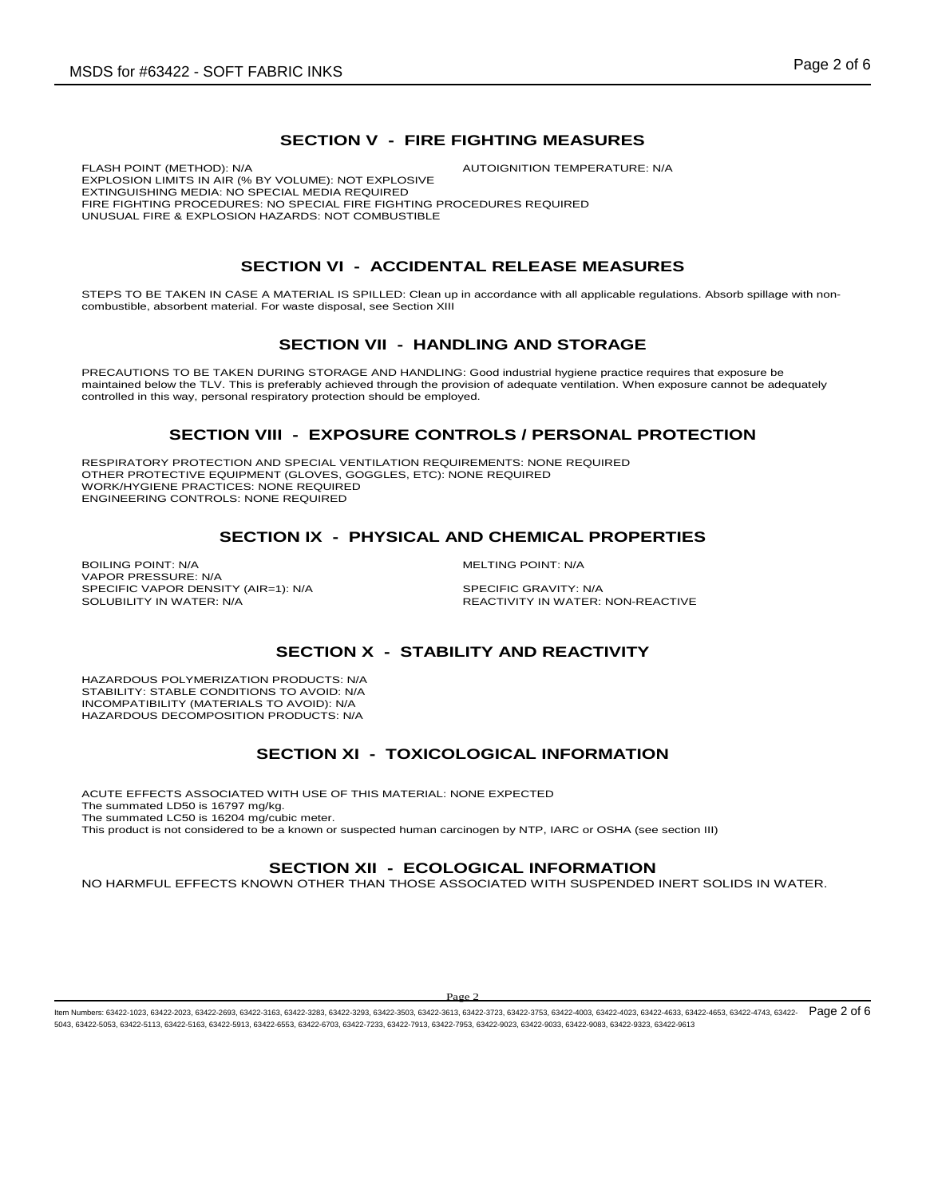# **SECTION V - FIRE FIGHTING MEASURES**

FLASH POINT (METHOD): N/A  $\blacksquare$  AUTOIGNITION TEMPERATURE: N/A EXPLOSION LIMITS IN AIR (% BY VOLUME): NOT EXPLOSIVE EXTINGUISHING MEDIA: NO SPECIAL MEDIA REQUIRED FIRE FIGHTING PROCEDURES: NO SPECIAL FIRE FIGHTING PROCEDURES REQUIRED UNUSUAL FIRE & EXPLOSION HAZARDS: NOT COMBUSTIBLE

# **SECTION VI - ACCIDENTAL RELEASE MEASURES**

STEPS TO BE TAKEN IN CASE A MATERIAL IS SPILLED: Clean up in accordance with all applicable regulations. Absorb spillage with noncombustible, absorbent material. For waste disposal, see Section XIII

#### **SECTION VII - HANDLING AND STORAGE**

PRECAUTIONS TO BE TAKEN DURING STORAGE AND HANDLING: Good industrial hygiene practice requires that exposure be maintained below the TLV. This is preferably achieved through the provision of adequate ventilation. When exposure cannot be adequately controlled in this way, personal respiratory protection should be employed.

#### **SECTION VIII - EXPOSURE CONTROLS / PERSONAL PROTECTION**

RESPIRATORY PROTECTION AND SPECIAL VENTILATION REQUIREMENTS: NONE REQUIRED OTHER PROTECTIVE EQUIPMENT (GLOVES, GOGGLES, ETC): NONE REQUIRED WORK/HYGIENE PRACTICES: NONE REQUIRED ENGINEERING CONTROLS: NONE REQUIRED

#### **SECTION IX - PHYSICAL AND CHEMICAL PROPERTIES**

BOILING POINT: N/A and the state of the state of the method of the MELTING POINT: N/A VAPOR PRESSURE: N/A SPECIFIC VAPOR DENSITY (AIR=1): N/A SPECIFIC GRAVITY: N/A SOLUBILITY IN WATER:  $\overline{S}$ 

REACTIVITY IN WATER: NON-REACTIVE

# **SECTION X - STABILITY AND REACTIVITY**

HAZARDOUS POLYMERIZATION PRODUCTS: N/A STABILITY: STABLE CONDITIONS TO AVOID: N/A INCOMPATIBILITY (MATERIALS TO AVOID): N/A HAZARDOUS DECOMPOSITION PRODUCTS: N/A

#### **SECTION XI - TOXICOLOGICAL INFORMATION**

ACUTE EFFECTS ASSOCIATED WITH USE OF THIS MATERIAL: NONE EXPECTED The summated LD50 is 16797 mg/kg. The summated LC50 is 16204 mg/cubic meter. This product is not considered to be a known or suspected human carcinogen by NTP, IARC or OSHA (see section III)

#### **SECTION XII - ECOLOGICAL INFORMATION**

NO HARMFUL EFFECTS KNOWN OTHER THAN THOSE ASSOCIATED WITH SUSPENDED INERT SOLIDS IN WATER.

Page 2

ltem Numbers: 63422-1023, 63422-2023, 63422-2693, 63422-3163, 63422-3283, 63422-3503, 63422-3613, 63422-3733, 63422-3735, 63422-4030, 63422-4023, 63422-4633, 63422-4653, 63422-4743, 63422-4743, 63422-4743, 63422-4739, 6342 5043, 63422-5053, 63422-5113, 63422-5163, 63422-5913, 63422-6553, 63422-6703, 63422-7233, 63422-7913, 63422-7953, 63422-9023, 63422-9033, 63422-9083, 63422-9323, 63422-9613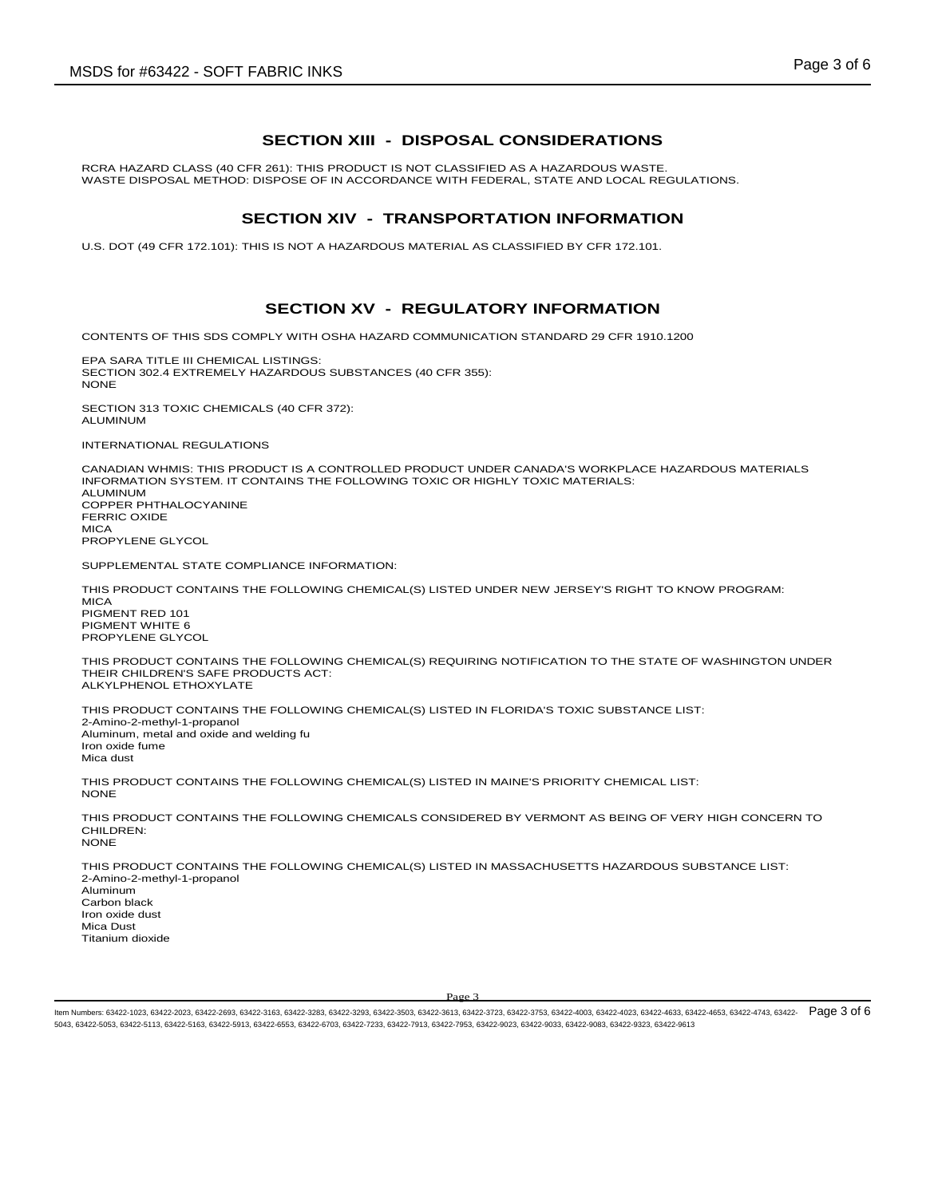#### **SECTION XIII - DISPOSAL CONSIDERATIONS**

RCRA HAZARD CLASS (40 CFR 261): THIS PRODUCT IS NOT CLASSIFIED AS A HAZARDOUS WASTE. WASTE DISPOSAL METHOD: DISPOSE OF IN ACCORDANCE WITH FEDERAL, STATE AND LOCAL REGULATIONS.

#### **SECTION XIV - TRANSPORTATION INFORMATION**

U.S. DOT (49 CFR 172.101): THIS IS NOT A HAZARDOUS MATERIAL AS CLASSIFIED BY CFR 172.101.

# **SECTION XV - REGULATORY INFORMATION**

CONTENTS OF THIS SDS COMPLY WITH OSHA HAZARD COMMUNICATION STANDARD 29 CFR 1910.1200

EPA SARA TITLE III CHEMICAL LISTINGS: SECTION 302.4 EXTREMELY HAZARDOUS SUBSTANCES (40 CFR 355): NONE

SECTION 313 TOXIC CHEMICALS (40 CFR 372): ALUMINUM

INTERNATIONAL REGULATIONS

CANADIAN WHMIS: THIS PRODUCT IS A CONTROLLED PRODUCT UNDER CANADA'S WORKPLACE HAZARDOUS MATERIALS INFORMATION SYSTEM. IT CONTAINS THE FOLLOWING TOXIC OR HIGHLY TOXIC MATERIALS: ALUMINUM COPPER PHTHALOCYANINE FERRIC OXIDE **MICA** PROPYLENE GLYCOL

SUPPLEMENTAL STATE COMPLIANCE INFORMATION:

THIS PRODUCT CONTAINS THE FOLLOWING CHEMICAL(S) LISTED UNDER NEW JERSEY'S RIGHT TO KNOW PROGRAM:

**MICA** PIGMENT RED 101 PIGMENT WHITE 6 PROPYLENE GLYCOL

THIS PRODUCT CONTAINS THE FOLLOWING CHEMICAL(S) REQUIRING NOTIFICATION TO THE STATE OF WASHINGTON UNDER THEIR CHILDREN'S SAFE PRODUCTS ACT: ALKYLPHENOL ETHOXYLATE

THIS PRODUCT CONTAINS THE FOLLOWING CHEMICAL(S) LISTED IN FLORIDA'S TOXIC SUBSTANCE LIST: 2-Amino-2-methyl-1-propanol Aluminum, metal and oxide and welding fu Iron oxide fume Mica dust

THIS PRODUCT CONTAINS THE FOLLOWING CHEMICAL(S) LISTED IN MAINE'S PRIORITY CHEMICAL LIST: NONE

THIS PRODUCT CONTAINS THE FOLLOWING CHEMICALS CONSIDERED BY VERMONT AS BEING OF VERY HIGH CONCERN TO CHILDREN: NONE

THIS PRODUCT CONTAINS THE FOLLOWING CHEMICAL(S) LISTED IN MASSACHUSETTS HAZARDOUS SUBSTANCE LIST: 2-Amino-2-methyl-1-propanol Aluminum Carbon black Iron oxide dust Mica Dust Titanium dioxide

Page 3

ltem Numbers: 63422-1023, 63422-2023, 63422-2693, 63422-3163, 63422-3283, 63422-3503, 63422-3613, 63422-3733, 63422-3735, 63422-4030, 63422-4023, 63422-4633, 63422-4653, 63422-4743, 63422-4743, 63422-4743, 63422-4738, 6342 5043, 63422-5053, 63422-5113, 63422-5163, 63422-5913, 63422-6553, 63422-6703, 63422-7233, 63422-7913, 63422-7953, 63422-9023, 63422-9033, 63422-9083, 63422-9323, 63422-9613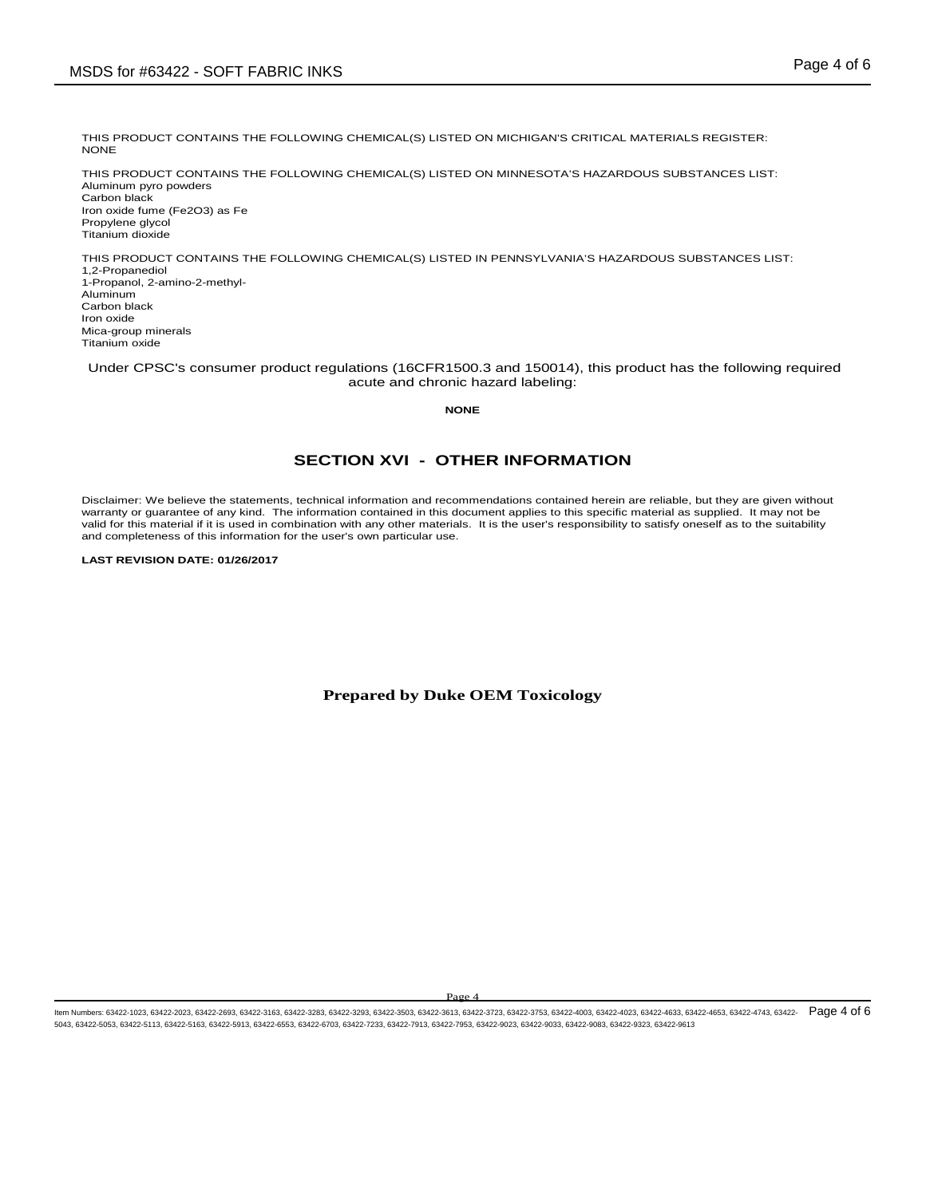THIS PRODUCT CONTAINS THE FOLLOWING CHEMICAL(S) LISTED ON MICHIGAN'S CRITICAL MATERIALS REGISTER: NONE

THIS PRODUCT CONTAINS THE FOLLOWING CHEMICAL(S) LISTED ON MINNESOTA'S HAZARDOUS SUBSTANCES LIST: Aluminum pyro powders Carbon black Iron oxide fume (Fe2O3) as Fe Propylene glycol Titanium dioxide

THIS PRODUCT CONTAINS THE FOLLOWING CHEMICAL(S) LISTED IN PENNSYLVANIA'S HAZARDOUS SUBSTANCES LIST: 1,2-Propanediol 1-Propanol, 2-amino-2-methyl-Aluminum Carbon black Iron oxide Mica-group minerals Titanium oxide

Under CPSC's consumer product regulations (16CFR1500.3 and 150014), this product has the following required acute and chronic hazard labeling:

**NONE**

# **SECTION XVI - OTHER INFORMATION**

Disclaimer: We believe the statements, technical information and recommendations contained herein are reliable, but they are given without warranty or guarantee of any kind. The information contained in this document applies to this specific material as supplied. It may not be valid for this material if it is used in combination with any other materials. It is the user's responsibility to satisfy oneself as to the suitability and completeness of this information for the user's own particular use.

**LAST REVISION DATE: 01/26/2017**

**Prepared by Duke OEM Toxicology**

Page

ltem Numbers: 63422-1023, 63422-2023, 63422-2693, 63422-3163, 63422-3283, 63422-3503, 63422-3613, 63422-3733, 63422-3735, 63422-4030, 63422-4023, 63422-4633, 63422-4653, 63422-4743, 63422-4743, 63422-4743, 63422-4743, 6342 5043, 63422-5053, 63422-5113, 63422-5163, 63422-5913, 63422-6553, 63422-6703, 63422-7233, 63422-7913, 63422-7953, 63422-9023, 63422-9033, 63422-9083, 63422-9323, 63422-9613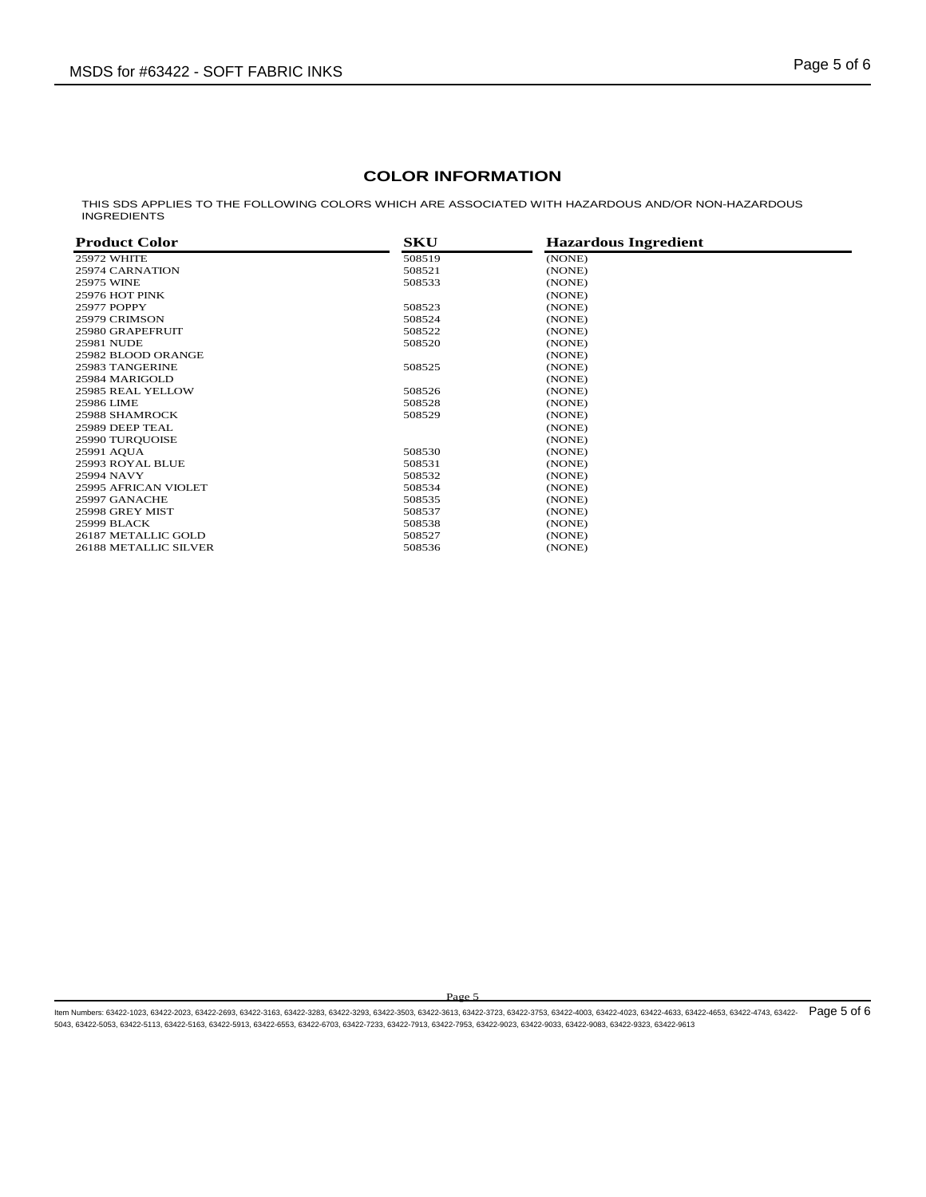# **COLOR INFORMATION**

THIS SDS APPLIES TO THE FOLLOWING COLORS WHICH ARE ASSOCIATED WITH HAZARDOUS AND/OR NON-HAZARDOUS INGREDIENTS

| <b>Product Color</b>  | SKU    | <b>Hazardous Ingredient</b> |  |
|-----------------------|--------|-----------------------------|--|
| <b>25972 WHITE</b>    | 508519 | (NONE)                      |  |
| 25974 CARNATION       | 508521 | (NONE)                      |  |
| 25975 WINE            | 508533 | (NONE)                      |  |
| 25976 HOT PINK        |        | (NONE)                      |  |
| 25977 POPPY           | 508523 | (NONE)                      |  |
| 25979 CRIMSON         | 508524 | (NONE)                      |  |
| 25980 GRAPEFRUIT      | 508522 | (NONE)                      |  |
| 25981 NUDE            | 508520 | (NONE)                      |  |
| 25982 BLOOD ORANGE    |        | (NONE)                      |  |
| 25983 TANGERINE       | 508525 | (NONE)                      |  |
| 25984 MARIGOLD        |        | (NONE)                      |  |
| 25985 REAL YELLOW     | 508526 | (NONE)                      |  |
| 25986 LIME            | 508528 | (NONE)                      |  |
| 25988 SHAMROCK        | 508529 | (NONE)                      |  |
| 25989 DEEP TEAL       |        | (NONE)                      |  |
| 25990 TUROUOISE       |        | (NONE)                      |  |
| 25991 AOUA            | 508530 | (NONE)                      |  |
| 25993 ROYAL BLUE      | 508531 | (NONE)                      |  |
| 25994 NAVY            | 508532 | (NONE)                      |  |
| 25995 AFRICAN VIOLET  | 508534 | (NONE)                      |  |
| 25997 GANACHE         | 508535 | (NONE)                      |  |
| 25998 GREY MIST       | 508537 | (NONE)                      |  |
| 25999 BLACK           | 508538 | (NONE)                      |  |
| 26187 METALLIC GOLD   | 508527 | (NONE)                      |  |
| 26188 METALLIC SILVER | 508536 | (NONE)                      |  |
|                       |        |                             |  |

Page 5

ltem Numbers: 63422-1023, 63422-2023, 63422-2693, 63422-3163, 63422-3283, 63422-3503, 63422-3613, 63422-3733, 63422-3735, 63422-4030, 63422-4023, 63422-4633, 63422-4653, 63422-4743, 63422-4743, 63422-4743, 63422-4739, 6342 5043, 63422-5053, 63422-5113, 63422-5163, 63422-5913, 63422-6553, 63422-6703, 63422-7233, 63422-7913, 63422-7953, 63422-9023, 63422-9033, 63422-9083, 63422-9323, 63422-9613